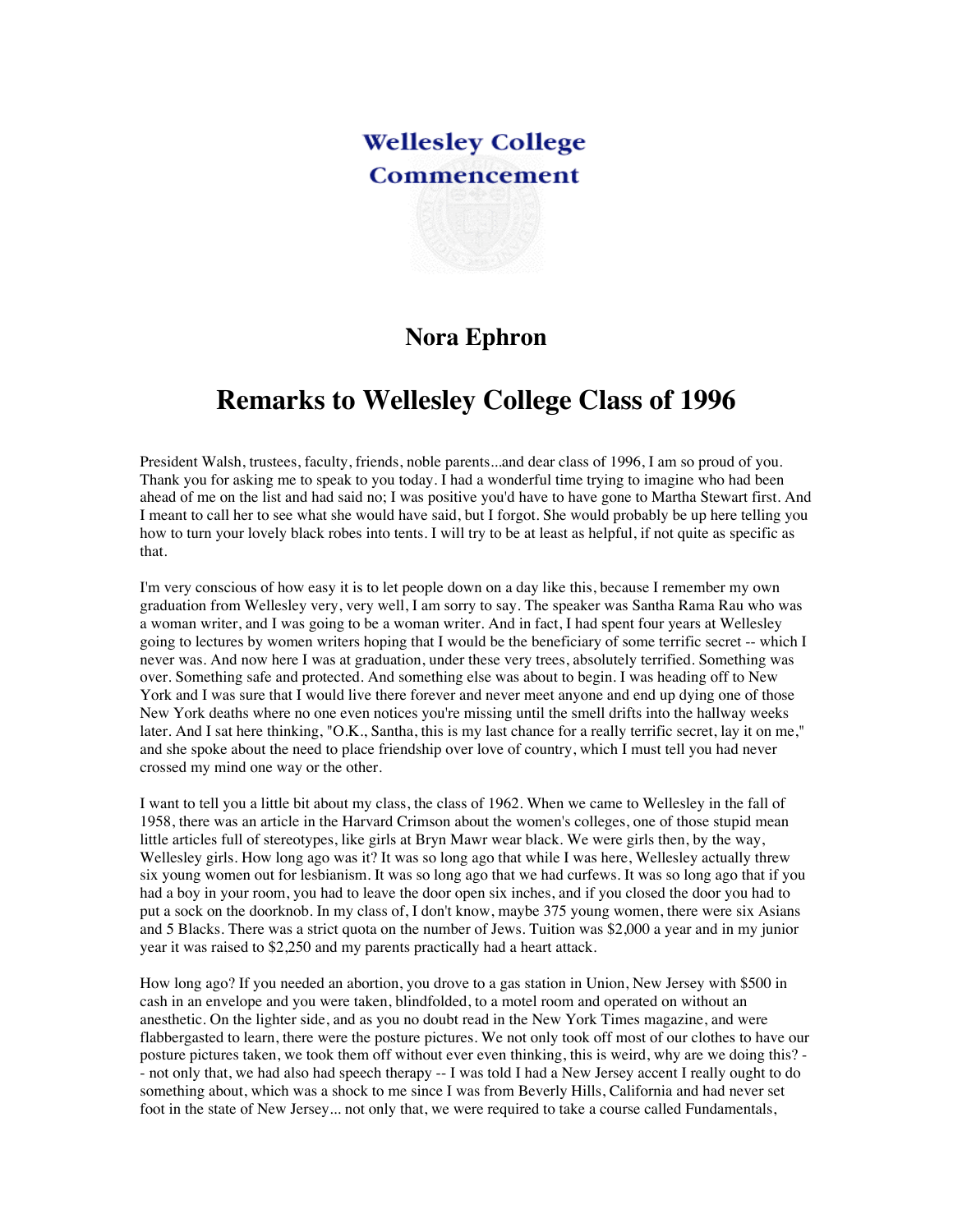## **Wellesley College** Commencement

## **Nora Ephron**

## **Remarks to Wellesley College Class of 1996**

President Walsh, trustees, faculty, friends, noble parents...and dear class of 1996, I am so proud of you. Thank you for asking me to speak to you today. I had a wonderful time trying to imagine who had been ahead of me on the list and had said no; I was positive you'd have to have gone to Martha Stewart first. And I meant to call her to see what she would have said, but I forgot. She would probably be up here telling you how to turn your lovely black robes into tents. I will try to be at least as helpful, if not quite as specific as that.

I'm very conscious of how easy it is to let people down on a day like this, because I remember my own graduation from Wellesley very, very well, I am sorry to say. The speaker was Santha Rama Rau who was a woman writer, and I was going to be a woman writer. And in fact, I had spent four years at Wellesley going to lectures by women writers hoping that I would be the beneficiary of some terrific secret -- which I never was. And now here I was at graduation, under these very trees, absolutely terrified. Something was over. Something safe and protected. And something else was about to begin. I was heading off to New York and I was sure that I would live there forever and never meet anyone and end up dying one of those New York deaths where no one even notices you're missing until the smell drifts into the hallway weeks later. And I sat here thinking, "O.K., Santha, this is my last chance for a really terrific secret, lay it on me," and she spoke about the need to place friendship over love of country, which I must tell you had never crossed my mind one way or the other.

I want to tell you a little bit about my class, the class of 1962. When we came to Wellesley in the fall of 1958, there was an article in the Harvard Crimson about the women's colleges, one of those stupid mean little articles full of stereotypes, like girls at Bryn Mawr wear black. We were girls then, by the way, Wellesley girls. How long ago was it? It was so long ago that while I was here, Wellesley actually threw six young women out for lesbianism. It was so long ago that we had curfews. It was so long ago that if you had a boy in your room, you had to leave the door open six inches, and if you closed the door you had to put a sock on the doorknob. In my class of, I don't know, maybe 375 young women, there were six Asians and 5 Blacks. There was a strict quota on the number of Jews. Tuition was \$2,000 a year and in my junior year it was raised to \$2,250 and my parents practically had a heart attack.

How long ago? If you needed an abortion, you drove to a gas station in Union, New Jersey with \$500 in cash in an envelope and you were taken, blindfolded, to a motel room and operated on without an anesthetic. On the lighter side, and as you no doubt read in the New York Times magazine, and were flabbergasted to learn, there were the posture pictures. We not only took off most of our clothes to have our posture pictures taken, we took them off without ever even thinking, this is weird, why are we doing this? - - not only that, we had also had speech therapy -- I was told I had a New Jersey accent I really ought to do something about, which was a shock to me since I was from Beverly Hills, California and had never set foot in the state of New Jersey... not only that, we were required to take a course called Fundamentals,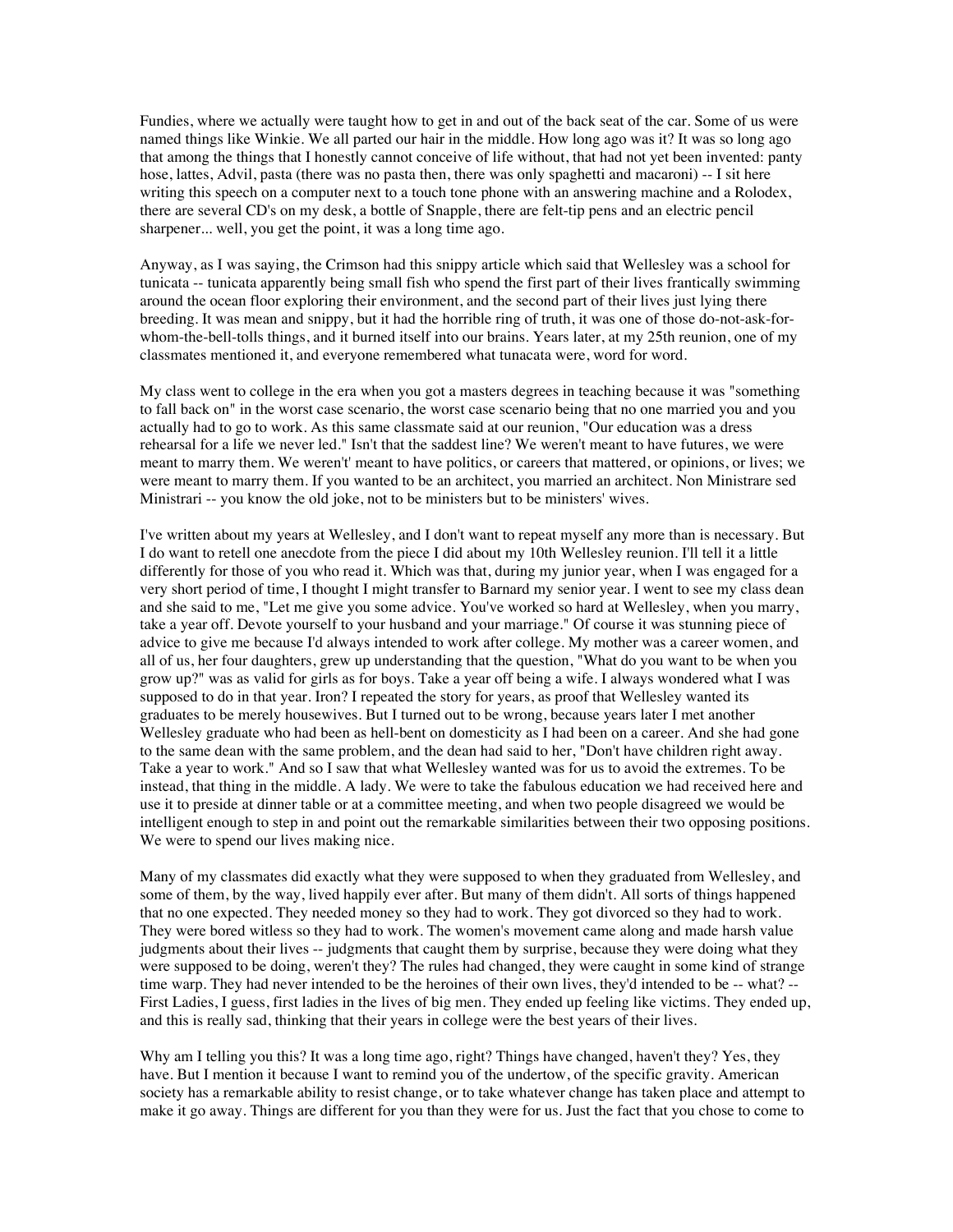Fundies, where we actually were taught how to get in and out of the back seat of the car. Some of us were named things like Winkie. We all parted our hair in the middle. How long ago was it? It was so long ago that among the things that I honestly cannot conceive of life without, that had not yet been invented: panty hose, lattes, Advil, pasta (there was no pasta then, there was only spaghetti and macaroni) -- I sit here writing this speech on a computer next to a touch tone phone with an answering machine and a Rolodex, there are several CD's on my desk, a bottle of Snapple, there are felt-tip pens and an electric pencil sharpener... well, you get the point, it was a long time ago.

Anyway, as I was saying, the Crimson had this snippy article which said that Wellesley was a school for tunicata -- tunicata apparently being small fish who spend the first part of their lives frantically swimming around the ocean floor exploring their environment, and the second part of their lives just lying there breeding. It was mean and snippy, but it had the horrible ring of truth, it was one of those do-not-ask-forwhom-the-bell-tolls things, and it burned itself into our brains. Years later, at my 25th reunion, one of my classmates mentioned it, and everyone remembered what tunacata were, word for word.

My class went to college in the era when you got a masters degrees in teaching because it was "something to fall back on" in the worst case scenario, the worst case scenario being that no one married you and you actually had to go to work. As this same classmate said at our reunion, "Our education was a dress rehearsal for a life we never led." Isn't that the saddest line? We weren't meant to have futures, we were meant to marry them. We weren't' meant to have politics, or careers that mattered, or opinions, or lives; we were meant to marry them. If you wanted to be an architect, you married an architect. Non Ministrare sed Ministrari -- you know the old joke, not to be ministers but to be ministers' wives.

I've written about my years at Wellesley, and I don't want to repeat myself any more than is necessary. But I do want to retell one anecdote from the piece I did about my 10th Wellesley reunion. I'll tell it a little differently for those of you who read it. Which was that, during my junior year, when I was engaged for a very short period of time, I thought I might transfer to Barnard my senior year. I went to see my class dean and she said to me, "Let me give you some advice. You've worked so hard at Wellesley, when you marry, take a year off. Devote yourself to your husband and your marriage." Of course it was stunning piece of advice to give me because I'd always intended to work after college. My mother was a career women, and all of us, her four daughters, grew up understanding that the question, "What do you want to be when you grow up?" was as valid for girls as for boys. Take a year off being a wife. I always wondered what I was supposed to do in that year. Iron? I repeated the story for years, as proof that Wellesley wanted its graduates to be merely housewives. But I turned out to be wrong, because years later I met another Wellesley graduate who had been as hell-bent on domesticity as I had been on a career. And she had gone to the same dean with the same problem, and the dean had said to her, "Don't have children right away. Take a year to work." And so I saw that what Wellesley wanted was for us to avoid the extremes. To be instead, that thing in the middle. A lady. We were to take the fabulous education we had received here and use it to preside at dinner table or at a committee meeting, and when two people disagreed we would be intelligent enough to step in and point out the remarkable similarities between their two opposing positions. We were to spend our lives making nice.

Many of my classmates did exactly what they were supposed to when they graduated from Wellesley, and some of them, by the way, lived happily ever after. But many of them didn't. All sorts of things happened that no one expected. They needed money so they had to work. They got divorced so they had to work. They were bored witless so they had to work. The women's movement came along and made harsh value judgments about their lives -- judgments that caught them by surprise, because they were doing what they were supposed to be doing, weren't they? The rules had changed, they were caught in some kind of strange time warp. They had never intended to be the heroines of their own lives, they'd intended to be -- what? -- First Ladies, I guess, first ladies in the lives of big men. They ended up feeling like victims. They ended up, and this is really sad, thinking that their years in college were the best years of their lives.

Why am I telling you this? It was a long time ago, right? Things have changed, haven't they? Yes, they have. But I mention it because I want to remind you of the undertow, of the specific gravity. American society has a remarkable ability to resist change, or to take whatever change has taken place and attempt to make it go away. Things are different for you than they were for us. Just the fact that you chose to come to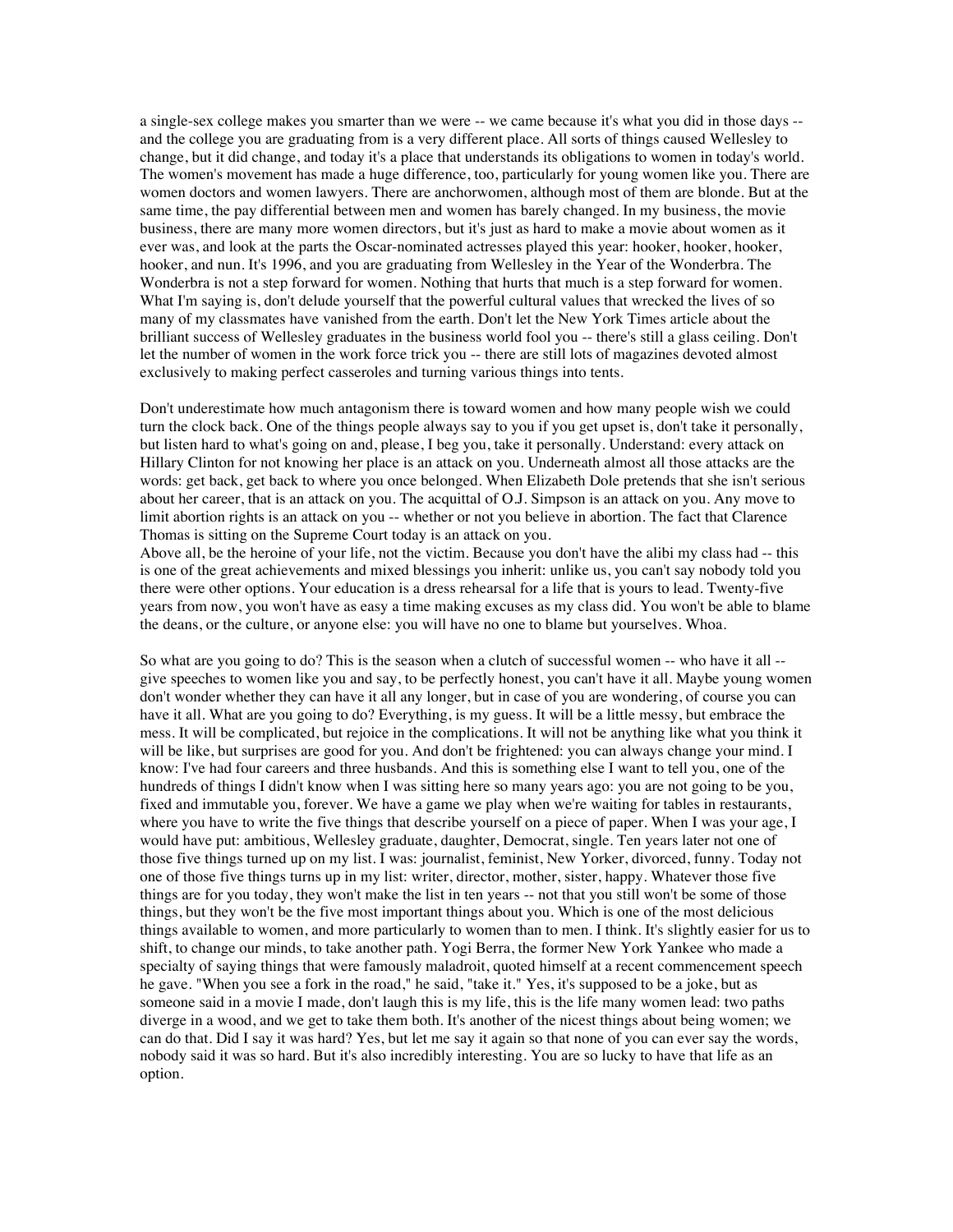a single-sex college makes you smarter than we were -- we came because it's what you did in those days - and the college you are graduating from is a very different place. All sorts of things caused Wellesley to change, but it did change, and today it's a place that understands its obligations to women in today's world. The women's movement has made a huge difference, too, particularly for young women like you. There are women doctors and women lawyers. There are anchorwomen, although most of them are blonde. But at the same time, the pay differential between men and women has barely changed. In my business, the movie business, there are many more women directors, but it's just as hard to make a movie about women as it ever was, and look at the parts the Oscar-nominated actresses played this year: hooker, hooker, hooker, hooker, and nun. It's 1996, and you are graduating from Wellesley in the Year of the Wonderbra. The Wonderbra is not a step forward for women. Nothing that hurts that much is a step forward for women. What I'm saying is, don't delude yourself that the powerful cultural values that wrecked the lives of so many of my classmates have vanished from the earth. Don't let the New York Times article about the brilliant success of Wellesley graduates in the business world fool you -- there's still a glass ceiling. Don't let the number of women in the work force trick you -- there are still lots of magazines devoted almost exclusively to making perfect casseroles and turning various things into tents.

Don't underestimate how much antagonism there is toward women and how many people wish we could turn the clock back. One of the things people always say to you if you get upset is, don't take it personally, but listen hard to what's going on and, please, I beg you, take it personally. Understand: every attack on Hillary Clinton for not knowing her place is an attack on you. Underneath almost all those attacks are the words: get back, get back to where you once belonged. When Elizabeth Dole pretends that she isn't serious about her career, that is an attack on you. The acquittal of O.J. Simpson is an attack on you. Any move to limit abortion rights is an attack on you -- whether or not you believe in abortion. The fact that Clarence Thomas is sitting on the Supreme Court today is an attack on you.

Above all, be the heroine of your life, not the victim. Because you don't have the alibi my class had -- this is one of the great achievements and mixed blessings you inherit: unlike us, you can't say nobody told you there were other options. Your education is a dress rehearsal for a life that is yours to lead. Twenty-five years from now, you won't have as easy a time making excuses as my class did. You won't be able to blame the deans, or the culture, or anyone else: you will have no one to blame but yourselves. Whoa.

So what are you going to do? This is the season when a clutch of successful women -- who have it all - give speeches to women like you and say, to be perfectly honest, you can't have it all. Maybe young women don't wonder whether they can have it all any longer, but in case of you are wondering, of course you can have it all. What are you going to do? Everything, is my guess. It will be a little messy, but embrace the mess. It will be complicated, but rejoice in the complications. It will not be anything like what you think it will be like, but surprises are good for you. And don't be frightened: you can always change your mind. I know: I've had four careers and three husbands. And this is something else I want to tell you, one of the hundreds of things I didn't know when I was sitting here so many years ago: you are not going to be you, fixed and immutable you, forever. We have a game we play when we're waiting for tables in restaurants, where you have to write the five things that describe yourself on a piece of paper. When I was your age, I would have put: ambitious, Wellesley graduate, daughter, Democrat, single. Ten years later not one of those five things turned up on my list. I was: journalist, feminist, New Yorker, divorced, funny. Today not one of those five things turns up in my list: writer, director, mother, sister, happy. Whatever those five things are for you today, they won't make the list in ten years -- not that you still won't be some of those things, but they won't be the five most important things about you. Which is one of the most delicious things available to women, and more particularly to women than to men. I think. It's slightly easier for us to shift, to change our minds, to take another path. Yogi Berra, the former New York Yankee who made a specialty of saying things that were famously maladroit, quoted himself at a recent commencement speech he gave. "When you see a fork in the road," he said, "take it." Yes, it's supposed to be a joke, but as someone said in a movie I made, don't laugh this is my life, this is the life many women lead: two paths diverge in a wood, and we get to take them both. It's another of the nicest things about being women; we can do that. Did I say it was hard? Yes, but let me say it again so that none of you can ever say the words, nobody said it was so hard. But it's also incredibly interesting. You are so lucky to have that life as an option.